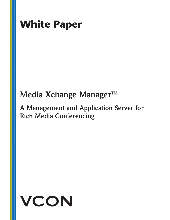

## Media Xchange Manager<sup>™</sup>

## **A Management and Application Server for Rich Media Conferencing**

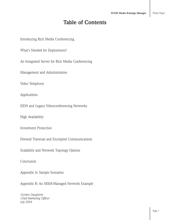### **Table of Contents**

Introducing Rich Media Conferencing

What's Needed for Deployment?

An Integrated Server for Rich Media Conferencing

Management and Administration

Video Telephony

Applications

ISDN and Legacy Videoconferencing Networks

High Availability

Investment Protection

Firewall Traversal and Encrypted Communications

Scalability and Network Topology Options

Conclusion

Appendix A: Sample Scenarios

Appendix B: An MXM-Managed Network Example

*Gordon Daugherty Chief Marketing Officer July 2004*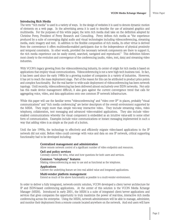#### **Introducing Rich Media**

The term "rich media" is used in a variety of ways. In the design of websites it is used to denote dynamic motion of elements on a web page. In the advertising arena it is used to describe the use of animated graphics and multimedia. For the purposes of this white paper, the term rich media shall take on the definition adopted by Christine Perey, President of Perey Research and Consulting. Perey defines rich media as "the experience produced by a suite of converging digital audio and visual technologies including videoconferencing, streaming media, static imagery and text. In addition to the flexible composition of rich media, its other virtue is derived from the convenience it offers multimedia-enabled participants due to the independence of physical proximity and temporal constraints. In other words, provided the necessary network components are there to support it, the rich media experience can be easily stored, searched, navigated and reproduced." This definition follows most closely to the evolution and convergence of the conferencing (audio, video, text, data) and streaming video industries.

With VCON's legacy growing from the videoconferencing industry, its center of origin for rich media is based on applications that employ visual communications. Videoconferencing is not a new high-tech business tool. In fact, it has been used since the early 1980s by a growing number of companies in a variety of industries. However, it has yet to reach the mass deployment stage. Part of the reason for this can be attributed to product price points and complex functionality. But the real barrier to wide-scale deployment of videoconferencing has been network topology. Until recently, videoconferencing has been delivered almost exclusively over ISDN networks. Not only has this made device management difficult, it also goes against the current convergence trend that calls for aggregating voice, video, and data applications onto one common IP network infrastructure.

While this paper will use the familiar terms "videoconferencing" and "video over IP" in places, probably "visual communications" and "rich media conferencing" are better descriptors of the overall environment supported by the MXM. They imply more than simple two-way interactive video. They include streaming video, video telephony, collaboration, text messaging and advanced video-enabled applications. They also include videoenabled communications whereby the visual component is embedded as an intuitive value-add to some other form of communication. Examples include voice communications or instant messaging implemented in such a way that adding video is as simple as the push of a button.

Until the late 1990s, the technology to effectively and efficiently migrate video-based applications to the IP network did not exist. Before video could converge with voice and data on one IP network, critical supporting functionality had to be developed including:

#### **Centralized management and administration**

Allow remote network control of a significant number of video endpoints and resources.

#### **QoS and policy services**

Centrally control the who, what and how questions for both users and services.

#### **Common "telephony" features**

Making videoconferencing as easy to use and as functional as the telephone.

#### **Applications**

Convert the underlying feature set into real added value and integrated applications.

#### **Multi-vendor platform management**

Extend as much of the above functionality as possible to a multi-vendor environment.

In order to deliver a fully integrated, network-centric solution, VCON developed a client/server architecture for IP and ISDN-based conferencing applications. At the center of this solution is the VCON Media Xchange Manager (MXM). Introduced in early 2001, the MXM is a suite of integrated client/server applications and services that gives companies the opportunity to truly maximize the power of real-time, interactive rich media conferencing across the enterprise. Using the MXM, network administrators will be able to manage, administer, and monitor their deployment from a remote console located anywhere on the network. And end users will have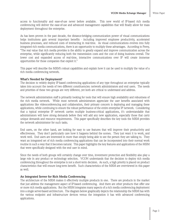access to functionality and ease-of-use never before available. This new world of IP-based rich media conferencing will deliver the ease-of-use and advanced management capabilities that will finally allow for mass deployment throughout the enterprise.

As has been proven in the past decade, the distance-bridging communication power of visual communications helps institutions gain several important benefits - including improved employee productivity, accelerated business processes, and reduced costs of interacting in real-time. As visual communications evolves into fully integrated rich media communications, there is an opportunity to multiply these advantages. According to Perey, "The real value that rich media provides is the ability to greatly expand and improve communication across the enterprise, while significantly reducing both the transmission costs and the cost of doing business overall. The lower cost and expanded access of real-time, interactive communications over IP will create immense opportunities for those companies that exploit it."

This paper will describe the MXM's robust capabilities and explain how it can be used to multiply the value of a rich media conferencing network.

#### **What's Needed for Deployment?**

The decision to widely deploy IP-based conferencing applications of any type throughout an enterprise typically takes into account the needs of two different constituencies: network administrators and end users. The needs and priorities of these two groups are very different, yet both are critical to understand and address.

The network administration staff is primarily looking for tools that will ensure high availability and robustness of the rich media network. While most network administrators appreciate the user benefits associated with applications like videoconferencing and collaboration, their primary concern is deploying and managing these applications, while continuing to ensure the robust performance of the entire enterprise IP network. Considering that a typical enterprise IP network carries multiple business-critical applications, it's understandable that administrators will have strong demands before they will add any new application, especially those that carry unique demands and resource requirements. This paper specifically describes the key tools the MXM provides the network administrator for such tasks.

End users, on the other hand, are looking for easy to use features that will improve their productivity and effectiveness. They don't particularly care how it happens behind the scenes. They just want it to work, and work well. End users are interested in more than simply being able to see the person they are talking to. They want an integrated set of rich media conferencing applications that can be incorporated into their normal work routine in such a way that it becomes natural. This paper highlights the key features and applications of the MXM that were specifically designed with the end user in mind.

Since the needs of both groups will certainly change over time, investment protection and flexibility also play a large role in any product or technology selection. VCON understands that the decision to deploy rich media conferencing throughout the enterprise is not a short-term decision. As such, a high priority is placed on product characteristics that will ensure long-term benefit. Such characteristics of the MXM are overviewed in this paper as well.

#### **An Integrated Server for Rich Media Conferencing**

The architecture of the MXM makes it effectively multiple products in one. There are products in the market that just address the management aspect of IP-based conferencing. And there are other products that offer one or more rich media applications. But the MXM integrates many aspects of a rich media conferencing deployment into a single server-based architecture. The diagram below graphically depicts the relationship the MXM has with the various endpoint and infrastructure devices versus the integration it has with advanced conferencing applications.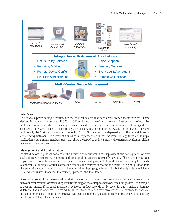



#### **Interfaces**

The MXM supports multiple interfaces to the physical devices that need access to rich media services. These devices include standards-based H.323 or SIP endpoints as well as network infrastructure products like multipoint control units (MCU), gateways, directories and proxies. Since these interfaces are built using industry standards, the MXM is able to offer virtually all of its services to a mixture of VCON and non-VCON devices. Additionally, the MXM allows for a mixture of H.323 and SIP devices to be deployed across the same rich media conferencing network. This level of flexibility is unprecedented in the industry. Finally, there are multiple application programming interfaces (API) that allow the MXM to be integrated with external provisioning, billing, management and control systems.

#### **Management and Administration**

As stated before, a primary concern of the network administrator is the deployment and management of new applications, while ensuring the robust performance of the entire enterprise IP network. The result of wide-scale implementation of rich media conferencing could mean the deployment of hundreds, or even many thousands, of endpoints at multiple locations across the campus, the country, or around the world. A logical question from the enterprise network administrator is: How will all of these geographically distributed endpoints be efficiently installed, configured, managed, maintained, upgraded, and monitored?

A second mission of the network administrator is ensuring that every user has a high-quality experience. The network requirements for various applications running on the enterprise network can differ greatly. For example, it does not matter if an email message is delivered in four seconds or 24 seconds, but it makes a dramatic difference if an audio packet is delivered in 200 milliseconds versus even two seconds. A network that behaves the same for email as it does for interactive rich media conferencing applications will not achieve the necessary results for a high-quality experience.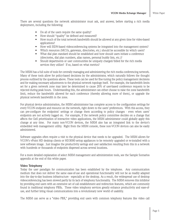- Do all of the users require the same quality?
- How should "quality" be defined and measured?
- How much of the total network bandwidth should be allowed at any given time for video-based applications?
- How will ISDN-based videoconferencing systems be integrated into the management system?
- Which resources (MCUs, gateways, directories, etc.) should be accessible by which users?
- What dial plan standard should be established and how should users initiate a conference (directories, dial plan numbers, alias names, personal buddy lists, etc.)?
- Should departments or user communities be uniquely charged/billed for the rich media services they utilize? If so, based on what metrics?

The MXM has a full suite of tools for centrally managing and administering the rich media conferencing network. Many of these tools allow for policy-based decisions by the administrator, which naturally follows the thought process outlined by the questions above. These tools can be used for fine-tuning the policy management decisions and for making necessary adjustments to the physical network topology itself. For example, the bandwidth limits set for a given network zone may later be determined to cause 20% of user-based conference requests to be rejected during peak hours. Understanding this, the administrator can either choose to raise the zone bandwidth limit, reduce the bandwidth allowed for each conference (thereby allowing more of them), or upgrade the physical network bandwidth in the zone.

For physical device administration, the MXM administrator has complete access to the configuration settings for every VCON endpoint and resource on the network, right down to the users' preferences. With this access, they can pre-configure the endpoints' settings or change them according to policy changes - even when users' endpoints are not actively logged on. For example, if the network policy committee decides on a change that affects the QoS prioritization of interactive video applications, the MXM administrator could globally apply this change at any time. For many non-VCON devices, the MXM also has an integrated link to the device's embedded web management utility. Right from the MXM console, these non-VCON devices can also be easily administered.

Software upgrades often require a visit to the physical device that needs to be upgraded. The MXM allows for VCON's vPoint HD desktop clients or HD3000 settop appliances to be remotely upgraded or re-installed with a new software image. Just imagine the productivity savings and user satisfaction resulting from this in a network with hundreds or thousands of endpoints dispersed across several locations.

For a more detailed explanation of select MXM management and administration tools, see the Sample Scenarios appendix at the end of this white paper.

#### **Video Telephony**

Today the user paradigm for communication has been established by the telephone. Any communication medium that does not deliver the same ease-of-use and operational functionality will not be as readily adapted into the day-to-day business infrastructure - especially at the desktop. As a result, the widespread use of desktop videoconferencing has been slowed partly by its lack of telephony functionality. The MXM removes this inhibitor by providing end users with an extensive set of call establishment and redirection features, which are commonly found in traditional telephony PBXs. These video telephony services greatly enhance productivity and ease-ofuse, and further bring visual communications into a revolutionary new world of usability.

The MXM can serve as a "video PBX," providing end users with common telephony features like video call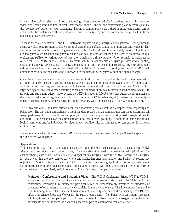forward, video call transfer, and ad hoc conferencing. Users can automatically forward incoming calls to another video user, their phone handset, or even their mobile phone. The ad hoc conferencing feature works just like the "conference" button on your telephone. During a point-to-point call, a third or more participants can be invited into the conference with the push of a button. Furthermore, only the conference bridge itself limits the scalability of each conference.

To make video calls between IP and ISDN networks requires dialing through a video gateway. Dialing through a gateway often requires users to know strings of prefixes and suffixes composed of numbers and symbols. This step increases the complexity of making off-net video calls. The MXM takes the complexity out of dialing through a video gateway via its simplified gateway dialing features. Instead of requiring end users to memorize unique prefixes and suffixes for various types of calls, they simply dial a single number (9, for example) to designate an off-net call. The MXM handles the rest. Network administrators can also configure gateway service hunting groups and gateway service policies to allow service hunting, line hunting and up-speeding/down-speeding rules - all to increase the odds of successful off-net call completion. The least cost routing feature of the MXM will automatically route the call across the IP network to the nearest ISDN gateway, minimizing toll charges.

Once the rich media conferencing deployment evolves to dozens or more endpoints, the function provided by an online directory takes on a critical role in delivering efficient communications between users. Without access to a centralized directory, each end user would have to create and maintain their own personal directory. In a large deployment this could mean entering dozens or hundreds of entries in individualized address books. To simplify and streamline address book access, the MXM includes an LDAP proxy that automatically maintains a directory on behalf of all registered endpoints and resources (MCUs, gateways, etc). When users are ready to initiate a conference, they simply access the online directory with a mouse click. The MXM does the rest.

The MXM also offers the administrator a real-time monitoring tool as well as a comprehensive reporting and billing tool. The tool has a comprehensive list of standard reports that an administrator can use to determine call usage, peak usage, total bandwidth consumption, what audio/video protocols are being used, average call length and more. These reports allow the administrator to do real network planning, in addition to being able to billback departments and/or individuals for video usage. Additionally, the administrator can create his/her own custom reports.

For a more detailed explanation of select MXM video telephony features, see the Sample Scenarios appendix at the end of this white paper.

#### **Applications**

The "icing on the cake" from a user benefit perspective lies in the rich media applications managed by the MXM. After all, end users don't care about technology. They care about the benefits derived from real applications. The ever-expanding suite of rich media conferencing applications integrated with the MXM is designed to integrate in such a way that the user cannot tell where one application ends and another one begins. A second key objective of MXM's integration with VCON's rich media conferencing applications is to integrate visual communications into other applications as an added value feature. With this, users can start with one form of communication and seamlessly switch to another if it adds value. Examples are below.

**Multipoint Conferencing and Streaming Video**: The VCON Conference Bridge (VCB) is VCON's application solution for multipoint videoconferencing and streaming video. With the VCB, multipoint conferences involving fully interactive participants can be simultaneously streamed to hundreds or thousands of other users that are passively participating in the conference. This integration of interactive and streaming video offers significant advantages of scalability and bandwidth efficiency. VCON even offers a no-charge Broadcast Viewer for the passive participants. Combined with an instant messaging soluiton, these passive participants could even engage in interactive text messaging with the other participants and could view the data being shared as part of a web-based data conference.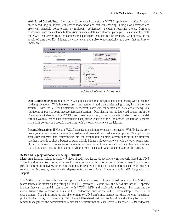**Web-Based Scheduling**: The VCON Conference Moderator is VCON's application solution for webbased scheduling, multipoint conference moderation and data conferencing. Using a web-browser, end users can schedule point-to-point or multipoint conferences, including recurring events. During a conference, with the click of a button, users can share data with all other participants. Via integration with the MXM, conference resource conflicts and participant conflicts can be avoided. Additionally, at the appointed time the MXM initiates the conference, and is able to automatically retry users that are busy or unavailable.



*VCON Conference Moderator*

**Data Conferencing:** There are two VCON applications that integrate data conferencing with other rich media applications. With IPNexus, users can seamlessly add data conferencing to any instant message session. With the VCON Conference Moderator, users can seamlessly add data conferencing to a multipoint or point-to-point videoconferencing session. Data sharing can be launched straight from the Conference Moderator using VCON's WebShare application, or for users who prefer a hosted model, through WebEx. When data conferencing, using either IPNexus or the Conference Moderator, users can share their desktop or a specific document with the other conference participants.

**Instant Messaging**: IPNexus is VCON's application solution for instant messaging. With IPNexus, users can engage in secure instant messaging sessions and then add rich media as appropriate. One option is to seamlessly integrate data conferencing into the session (for example, screen sharing or file transfer). Another option is to click a button to automatically initiate a videoconference with the other participants of the chat session. This seamless migration from one form of communication to another is so intuitive that all the users need to think about is whether rich media adds value at some point in the session.

#### **ISDN and Legacy Videoconferencing Networks**

Many organizations looking to deploy IP video already have legacy videoconferencing networks based on ISDN. Those that don't are likely to have the need to communicate with customers or business partners that are not a part of the same IP network, other than the public Internet which does not offer inherent security or quality of service. For this reason, many IP video deployments have some level of requirement for ISDN integration and support.

The MXM has a number of features to support such environments. As mentioned previously, the MXM has many services for off-net dialing through IP-to-ISDN gateways. Beyond this, the MXM also has ISDN-specific features that can be used in conjunction with VCON's ISDN and dual-mode endpoints. For example, the administrator is able to remotely initiate an ISDN videoconference on the VCON Falcon settop or the HD5000 group system. The administrator is also able to monitor ISDN conference statistics for these systems (negotiated protocols, line status, data rates, etc). With these ISDN-related features, the MXM can effectively be used as a remote management and administration server for a network that has exclusively ISDN-based VCON endpoints.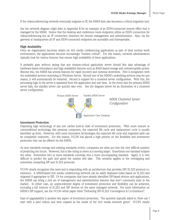If the videoconferencing network eventually migrates to IP, the MXM then also becomes a critical migration tool.

See the network diagram (right side) in Appendix B for an example of an ISDN-connected remote office that is managed by the MXM. Notice that the desktop and conference room endpoints utilize an ISDN connection for videoconferencing but an IP connection (Internet) for remote management and administration. Also, via the gateway at headquarters all IP and ISDN-connected endpoints are accessible and interoperable.

#### **High Availability**

Once an organization becomes reliant on rich media conferencing applications as part of their normal work environment, the applications become increasingly "mission critical". For this reason, network administrators typically look for various features that ensure high availability of these applications.

It probably goes without saying that any mission-critical application server should first take advantage of hardware-based redundancy and high availability features such as RAID-based storage and uninterruptible power. Beyond this, the MXM has several features for rapid recovery and minimal downtime. First is integration with the embedded services watchdog in Windows Server. Should one of the MXM's underlying services stop for any reason, it will automatically be restarted. Second is support for a clustered server configuration. With this, the processing logic in the server is separated from the application and user data. In the event that the primary MXM server fails, the standby server can quickly take over. See the diagram below for an illustration of a clustered server configuration.



#### **Investment Protection**

Deploying high technology of any sort carries built-in risks of investment protection. With more mature or commoditized technology, like personal computers, the expected life cycle and replacement cycle is usually identified up front. However, with more innovative technologies the expected life cycle and migration path can be completely unknown. For this reason, VCON has placed a high priority on the flexibility and investment protection that can be offered via the MXM.

As new standards emerge and existing standards evolve, companies are often put into the very difficult position of predicting the future. However, this is like trying to shoot at a moving target. Sometimes one standard eclipses the other. Sometimes two or more standards converge into a more encompassing standard. Again, it is very difficult to predict the path and speed the market will take. This certainly applies to the overlapping and somewhat competing SIP and H.323 protocols.

VCON clearly recognizes this need and is responding with an architecture that provides SIP/H.323 protocol coexistence. A MXM-based rich media conferencing network can be safely deployed today based on H.323 and migrated if appropriate to SIP. Or for companies that have already identified SIP-based devices and applications, the MXM can bring a rich set of management and administration features that don't commonly exist in the market. In either case, an unprecedented degree of investment protection and flexibility can be achieved, including a full mixture of H.323 and SIP devices on the same managed network. For more information on MXM's SIP support, see the VCON white paper titled "Delivering SIP-H.323 Convergence & Co-Existence".

Ease of upgradability is another key aspect of investment protection. The question typically asked is: How can I start with a pilot rollout and then expand as the needs of the rich media network grow? VCON clearly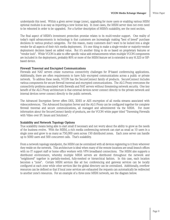understands this need. Within a given server image (zone), upgrading for more users or enabling various MXM optional modules is as easy as importing a new license key. In most cases, the MXM server does not even need to be rebooted in order to be upgraded. For a further description of MXM's scalability, see the next section.

The final aspect of MXM's investment protection promise relates to its multi-vendor support. One reality of today's rapid advancements in technology is that customers are increasingly making "best of breed" purchase decisions in various product categories. For this reason, many customers don't want to be locked into a single vendor for all aspects of their rich media deployment. It's one thing to make a single-vendor or majority-vendor deployment decision based on added value. But it's another thing to do so based on proprietary features or "vendor lock". While VCON is able to offer specific value add enhancements when multiple VCON components are included in the deployment, probably 80% or more of the MXM feature set is extended to any H.323 or SIPbased device.

#### **Firewall Traversal and Encrypted Communications**

Firewalls and NAT servers create numerous connectivity challenges for IP-based conferencing applications. Additionally, there are often requirements to have fully encrypted communications across a public or private network. To address these needs, VCON has the SecureConnect family of products. SecureConnect includes various components for secure firewall traversal and encrypted communications. The ALG Proxy overcomes the connectivity problems associated with firewalls and NAT servers without threatening network security. One key benefit of the ALG Proxy architecture is that external devices never connect directly to the private network and internal devices never connect directly to the public network.

The Advanced Encryption Server offers DES, 3DES or AES encryption of all media streams associated with videoconferences. The Advanced Encryption Server and the ALG Proxy can be configured together for complete firewall traversal and secure communications, all managed and administered via the MXM. For more information about the SecureConnect family of products, see the VCON white paper titled "Traversing Firewalls with Video over IP: Issues and Solutions".

#### **Scalability and Network Topology Options**

True scalability means being able to start small if necessary and not worry about the ability to grow as the needs of the business evolve. With the MXM, a rich media conferencing network can start as small as 10 users in a single zone and grow to as many as 750,000 users across 150 distributed zones. Each zone server can handle up to 5000 users and 500 concurrent calls. That's scalability.

From a network topology standpoint, the MXM can be centralized with all devices registering to it from wherever they reside on the network. This architecture is ideal when many of the remote locations are small branch offices with no IT support staff or home office workers with VPN broadband connections. The MXM also supports a distributed environment, whereby multiple MXM servers are distributed throughout the network and "neighbored" together in partially-meshed, fully-meshed or hierarchical fashion. In this case, each location becomes a "zone". Certain MXM services like ad hoc conferencing and gateway services can be locally configured at each zone while other services like the global directory can be centralized. Additionally, overflow resources can be defined so that if local zone services are exhausted the requests can automatically be redirected to another zone's resources. For an example of a three-zone MXM network, see the diagram below.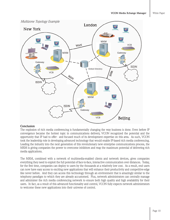

#### **Conclusion**

The explosion of rich media conferencing is fundamentally changing the way business is done. Even before IP convergence became the hottest topic in communications delivery, VCON recognized the potential and the opportunity that IP had to offer - and focused much of its development expertise on this area. As such, VCON took the leadership role in developing advanced technology that would enable IP-based rich media conferencing. Leading the industry into the next generation of this revolutionary new enterprise communications process, the MXM is giving companies the power to overcome inhibitors and reap the maximum potential of delivering rich media applications.

The MXM, combined with a network of multimedia-enabled clients and network devices, gives companies everything they need to exploit the full potential of face-to-face, interactive communication over distances. Today, for the first time, companies can deploy to users by the thousands at a relatively low cost. As a result, end users can now have easy access to exciting new applications that will enhance their productivity and competitive-edge like never before. And they can access this technology through an environment that is amazingly similar to the telephony paradigm to which they are already accustomed. Plus, network administrators can centrally manage and administer the rich media conferencing network to ensure both high quality and high availability for their users. In fact, as a result of this advanced functionality and control, VCON fully expects network administrators to welcome these new applications into their universe of control.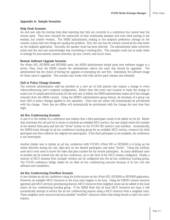#### **Appendix A: Sample Scenarios**

#### **Help Desk Scenario**

An end user calls the internal help desk reporting that they are currently in a conference but cannot hear the remote party. They have checked the connection of their multimedia speakers and even tried moving to the headset, but neither worked. The MXM administrator, looking at the endpoint preference settings on the console, notices that two things are causing the problem. First, the user has the volume turned all the way down on the endpoint application. Secondly, the speaker mute has been selected. The administrator takes corrective action and the end user acknowledges that everything is working fine. This example could just as easily relate to settings for auto-answer, camera selection, lip sync control, and much more.

#### **Remote Software Upgrade Scenario**

For vPoint HD, HD3000 and HD5000 users, the MXM administrator simply posts new software images to a server. Then, from the MXM console the administrator selects the users that should be upgraded. The administrator has the choice of forcing the upgrade or prompting the user first. Seamlessly, the software image for these users is upgraded. This scenario also works well with service pack releases and reinstalls.

#### **QoS or Policy Change Scenario**

The network administration staff has decided on a new set of QoS policies that require a change to every videoconferencing user's endpoint configuration. Rather than visit every user location to make the change or email a set of complicated instructions for the end user to follow, the MXM administrator makes all of the changes remotely from the MXM console. Using the MXM's administrative group feature, all members of a group can have QoS or policy changes applied in one operation. Users that are online will automatically be provisioned with the change. Users that are offline will automatically be provisioned with the change the next time they login.

#### **Ad Hoc Conferencing Scenario**

A user is in the middle of a conference and realizes that a third participant needs to be added on the fly. Rather than terminate the call and try to locate or schedule an available MCU service, the user simply enters the number of the desired third party and hits the "Invite" button on the VCON HD system's user interface. Automatically, the MXM hunts through its ad hoc conference hunting group for an available MCU service, connects the third participant and then redirects the original two participants. If the third participant is not available, the conference is not interrupted.

Another simple way to initiate an ad hoc conference with VCON's vPoint HD or HD5000 is to bring up the online directory during the call, right-click on the desired participant, and select "Invite". Using this method, users don't even need to know the video dial plan number for the remote participant. As many additional users as needed can be invited into this ad hoc conference, up to the limit of the MCU session configured. Finally, a mixture of MCU sessions from multiple vendors can be configured into the ad hoc conference hunting group. The VCON conference bridge makes for an ideal ad hoc conferencing resource because of its low cost and software-only installation.

#### **Ad Hoc Conferencing Overflow Scenario**

A user initiates an ad hoc conference using the Invite button on the vPoint HD, HD3000 or HD5000 application. However, all available MCU resources in the local zone happen to be busy. Using the MXM's remote resource (gateway and MCU services) provisioning feature, MCU resources from neighbor zones can be added to the local zone's ad hoc conferencing hunting group. If the MXM finds that all local MCU resources are busy, it will automatically attempt to service the ad hoc conferencing request using a MCU resource from a neighbor zone. These neighbor zone resources become possible "overflow" resources rather than being forced to reject the user's request.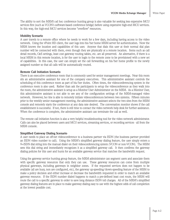The ability to sort the MXM's ad hoc conference hunting group is also valuable for seeking less expensive MCU services first (such as VCON's software-based conference bridge) before using expensive high-end MCU services. In this way, the high-end MCU services become "overflow" resources.

#### **Mobility Scenario**

A user travels to a remote office where he needs to work for a few days, including having access to the video network. Using the vPoint HD client, the user logs into his/her home MXM server for authentication. Now the MXM knows the location and capabilities of this user. Anyone that dials this user at their normal dial plan number will be connected with them, even though they are physically at a remote location. Items such as call detail records, QoS settings, least cost gateway routing tables, etc. are all preserved. An alternative, if there is a local MXM in this remote location, is for the user to login to the remote zone to be provisioned with a new set of capabilities. In this case, the user can simply set the call forwarding on his/her home profile to the newly assigned number so that all calls will be automatically routed.

#### **Remote Call Initiation Scenario**

There is an executive conference room that is commonly used for senior management meetings. Near this room sits an administrative assistant for one of the company executives. This administrative assistant controls the scheduling of this conference room as part of his/her duties. Often times, the videoconferencing system in the conference room is also used. Rather than ask the participants to setup the videoconference as they walk into the room, the administrative assistant is setup as a Monitor User Administrator on the MXM. As a Monitor User, this administrative assistant is not able to see any of the configuration settings of the MXM-managed video network. However, he/she is able to remotely initiate videoconferences between two systems. Fifteen minutes prior to the weekly senior management meeting, the administrative assistant selects the two sites from the MXM console and remotely starts the conference at any data rate desired. The conversation monitor shows if the call establishment is successful. If not, there is still time to contact the video network help desk for further assistance. When the conference is complete, the administrative assistant can terminate the call as well.

The remote call initiation function is also a very helpful troubleshooting tool for the video network administrator. Calls can also be placed between users and MCU services, streaming services, or recording services - all from the MXM console.

#### **Simplified Gateway Dialing Scenario**

A user needs to place an off-net videoconference to a business partner via ISDN (the business partner provided an ISDN video number to call). Using the MXM's simplified gateway dialing feature, the user simply enters a 9+ISDN dial string into the manual dialer on their videoconferencing system (VCON or non-VCON). The MXM sees this dial string and immediately recognizes it as a simplified gateway call. It then confirms the gateway dialing policies for this user and hunts for an available gateway service that matches the bandwidth request.

Using the gateway service hunting group feature, the MXM administrator can segment users and associate them with specific gateway resources that only they can use. These gateway resources can come from multiple physical gateways, including gateways in neighbor zones. If the requested services does not happen to be available (all are busy, non are configured, etc), the gateway up-speeding/down-speeding feature of the MXM to make a policy decision and either increase or decrease the bandwidth requested in order to match an available gateway resource. If the ISDN number dialed happens to match a pre-defined least cost route, the MXM will route the call to a specific gateway in order to save long distance ISDN toll charges. All of the MXM's simplified gateway dialing features are in place to make gateway dialing easy to use with the highest odds of call completion at the lowest possible cost.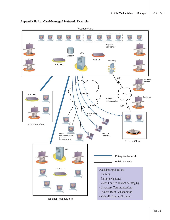

#### **Appendix B: An MXM-Managed Network Example**